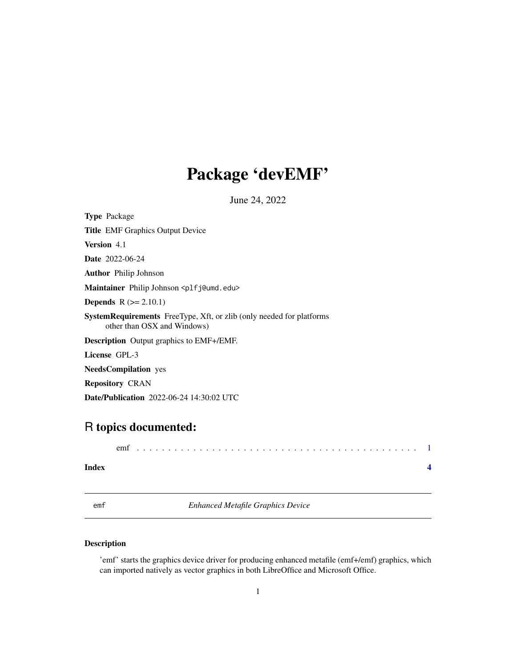## <span id="page-0-0"></span>Package 'devEMF'

June 24, 2022

<span id="page-0-1"></span>

| <b>Type</b> Package                                                                                        |
|------------------------------------------------------------------------------------------------------------|
| <b>Title EMF Graphics Output Device</b>                                                                    |
| <b>Version</b> 4.1                                                                                         |
| <b>Date</b> 2022-06-24                                                                                     |
| <b>Author</b> Philip Johnson                                                                               |
| Maintainer Philip Johnson <plfj@umd.edu></plfj@umd.edu>                                                    |
| <b>Depends</b> $R (= 2.10.1)$                                                                              |
| <b>SystemRequirements</b> FreeType, Xft, or zlib (only needed for platforms<br>other than OSX and Windows) |
| <b>Description</b> Output graphics to EMF+/EMF.                                                            |
| License GPL-3                                                                                              |
| <b>NeedsCompilation</b> yes                                                                                |
| <b>Repository CRAN</b>                                                                                     |
| <b>Date/Publication</b> 2022-06-24 14:30:02 UTC                                                            |

### R topics documented:

| emi |  |  |  |  |  |  |  |  |  |  |  |  |  |  |  |  |  |  |  |  |  |  |
|-----|--|--|--|--|--|--|--|--|--|--|--|--|--|--|--|--|--|--|--|--|--|--|
|     |  |  |  |  |  |  |  |  |  |  |  |  |  |  |  |  |  |  |  |  |  |  |

#### **Index** [4](#page-3-0)

emf *Enhanced Metafile Graphics Device*

#### Description

'emf' starts the graphics device driver for producing enhanced metafile (emf+/emf) graphics, which can imported natively as vector graphics in both LibreOffice and Microsoft Office.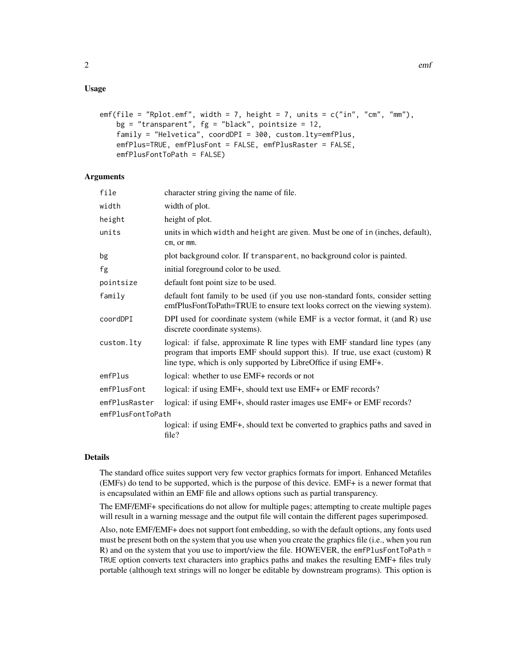#### Usage

```
emf(file = "Rplot.emf", width = 7, height = 7, units = c("in", "cm", "mm"),
   bg = "transparent", fg = "black", pointsize = 12,family = "Helvetica", coordDPI = 300, custom.lty=emfPlus,
    emfPlus=TRUE, emfPlusFont = FALSE, emfPlusRaster = FALSE,
    emfPlusFontToPath = FALSE)
```
#### **Arguments**

| character string giving the name of file.                                                                                                                                                                                         |
|-----------------------------------------------------------------------------------------------------------------------------------------------------------------------------------------------------------------------------------|
| width of plot.                                                                                                                                                                                                                    |
| height of plot.                                                                                                                                                                                                                   |
| units in which width and height are given. Must be one of in (inches, default),<br>cm, or mm.                                                                                                                                     |
| plot background color. If transparent, no background color is painted.                                                                                                                                                            |
| initial foreground color to be used.                                                                                                                                                                                              |
| default font point size to be used.                                                                                                                                                                                               |
| default font family to be used (if you use non-standard fonts, consider setting<br>emfPlusFontToPath=TRUE to ensure text looks correct on the viewing system).                                                                    |
| DPI used for coordinate system (while EMF is a vector format, it (and R) use<br>discrete coordinate systems).                                                                                                                     |
| logical: if false, approximate R line types with EMF standard line types (any<br>program that imports EMF should support this). If true, use exact (custom) R<br>line type, which is only supported by LibreOffice if using EMF+. |
| logical: whether to use EMF+ records or not                                                                                                                                                                                       |
| logical: if using EMF+, should text use EMF+ or EMF records?                                                                                                                                                                      |
| logical: if using EMF+, should raster images use EMF+ or EMF records?<br>emfPlusFontToPath                                                                                                                                        |
| logical: if using EMF+, should text be converted to graphics paths and saved in<br>file?                                                                                                                                          |
|                                                                                                                                                                                                                                   |

#### Details

The standard office suites support very few vector graphics formats for import. Enhanced Metafiles (EMFs) do tend to be supported, which is the purpose of this device. EMF+ is a newer format that is encapsulated within an EMF file and allows options such as partial transparency.

The EMF/EMF+ specifications do not allow for multiple pages; attempting to create multiple pages will result in a warning message and the output file will contain the different pages superimposed.

Also, note EMF/EMF+ does not support font embedding, so with the default options, any fonts used must be present both on the system that you use when you create the graphics file (i.e., when you run R) and on the system that you use to import/view the file. HOWEVER, the emfPlusFontToPath = TRUE option converts text characters into graphics paths and makes the resulting EMF+ files truly portable (although text strings will no longer be editable by downstream programs). This option is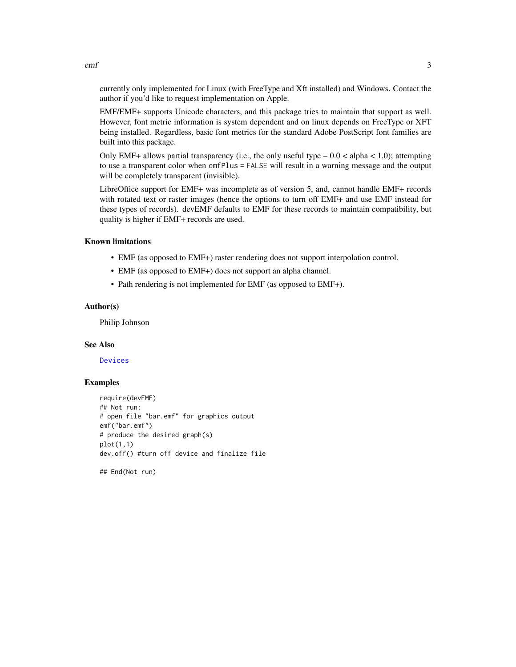currently only implemented for Linux (with FreeType and Xft installed) and Windows. Contact the author if you'd like to request implementation on Apple.

EMF/EMF+ supports Unicode characters, and this package tries to maintain that support as well. However, font metric information is system dependent and on linux depends on FreeType or XFT being installed. Regardless, basic font metrics for the standard Adobe PostScript font families are built into this package.

Only EMF+ allows partial transparency (i.e., the only useful type  $-0.0 <$  alpha  $< 1.0$ ); attempting to use a transparent color when emfPlus = FALSE will result in a warning message and the output will be completely transparent (invisible).

LibreOffice support for EMF+ was incomplete as of version 5, and, cannot handle EMF+ records with rotated text or raster images (hence the options to turn off EMF+ and use EMF instead for these types of records). devEMF defaults to EMF for these records to maintain compatibility, but quality is higher if EMF+ records are used.

#### Known limitations

- EMF (as opposed to EMF+) raster rendering does not support interpolation control.
- EMF (as opposed to EMF+) does not support an alpha channel.
- Path rendering is not implemented for EMF (as opposed to EMF+).

#### Author(s)

Philip Johnson

#### See Also

[Devices](#page-0-1)

#### Examples

```
require(devEMF)
## Not run:
# open file "bar.emf" for graphics output
emf("bar.emf")
# produce the desired graph(s)
plot(1,1)
dev.off() #turn off device and finalize file
```
## End(Not run)

<span id="page-2-0"></span>emf 3